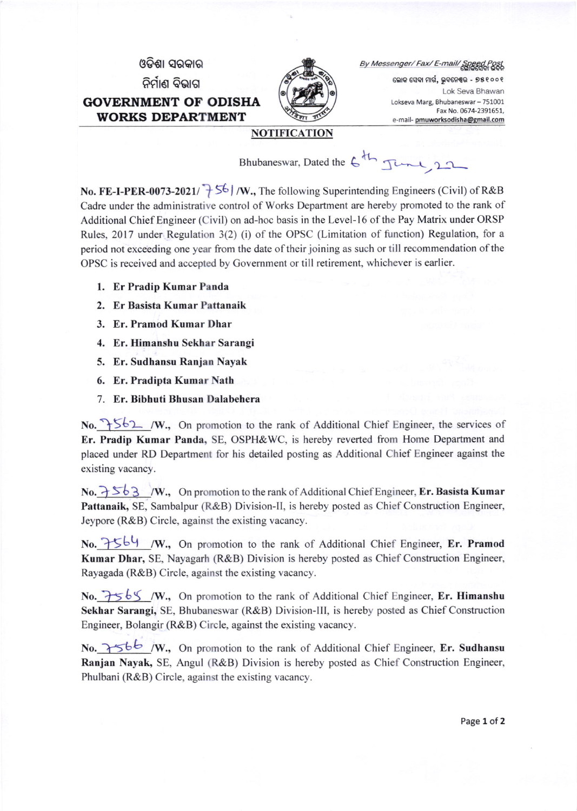



By Messenger/ Fax/ E-mail/ Speed

ଲୋକ ସେବା ମାର୍ଗ, ଭୁବନେଶ୍ୱର - ୭୫୧୦୦୧ Lok Seva Bhawan Lokseva Marg, Bhubaneswar - 751001 Fax No. 0674-2391651, e-mail- pmuworksodisha@gmail.com

## NOTIFICATION

Bhubaneswar, Dated the  $6^{th}$   $\frac{10}{10^{11}}$ 

No. FE-I-PER-0073-2021/ $\rightarrow$  56 | /W., The following Superintending Engineers (Civil) of R&B Cadre under the administrative control of Works Department are hereby promoted to the rank of Additional Chief Engineer (Civil) on ad-hoc basis in the Level-16 of the Pay Matrix under ORSP Rules, 2017 under Regulation 3(2) (i) of the OPSC (Limitation of function) Regulation, for a period not exceeding one year from the date of their joining as such or till recommendation of the OPSC is received and accepted by Government or till retirement, whichever is earlier.

- 1. Er Pradip Kumar Panda
- 2. Er Basista Kumar Pattanaik
- 3. Er. Pramod Kumar Dhar
- 4. Er. Himanshu Sekhar Sarangi
- 5. Er. Sudhansu Ranjan Nayak
- 6. Er. Pradipta Kumar Nath
- 7. Er. Bibhuti Bhusan Dalabehera

No.  $\frac{1}{6}$  /W., On promotion to the rank of Additional Chief Engineer, the services of Er. Pradip Kumar Panda, SE, OSPH&WC, is hereby reverted from Home Department and placed under RD Department for his detailed posting as Additional Chief Engineer against the existing vacancy.

No.  $\frac{1}{6}$   $\frac{1}{6}$   $\frac{1}{8}$   $\sqrt{W}$ ., On promotion to the rank of Additional Chief Engineer, Er. Basista Kumar Pattanaik, SE, Sambalpur (R&B) Division-ll, is hereby posted as Chief Construction Engineer, Jeypore (R&B) Circle, against the existing vacancy.

No.  $7564$  /W., On promotion to the rank of Additional Chief Engineer, Er. Pramod Kumar Dhar, SE, Nayagarh (R&B) Division is hereby posted as Chief Construction Engineer, Rayagada (R&B) Circle, against the existing vacancy.

No.  $7565$  /W., On promotion to the rank of Additional Chief Engineer, Er. Himanshu Sekhar Sarangi, SE, Bhubaneswar (R&B) Division-lll, is hereby posted as Chief Construction Engineer, Bolangir (R&B) Circle, against the existing vacancy.

No.  $\rightarrow$ 566 /W., On promotion to the rank of Additional Chief Engineer, Er. Sudhansu Ranjan Nayak, SE, Angul (R&B) Division is hereby posted as Chief Construction Engineer, Phulbani (R&B) Circle, against the existing vacancy.